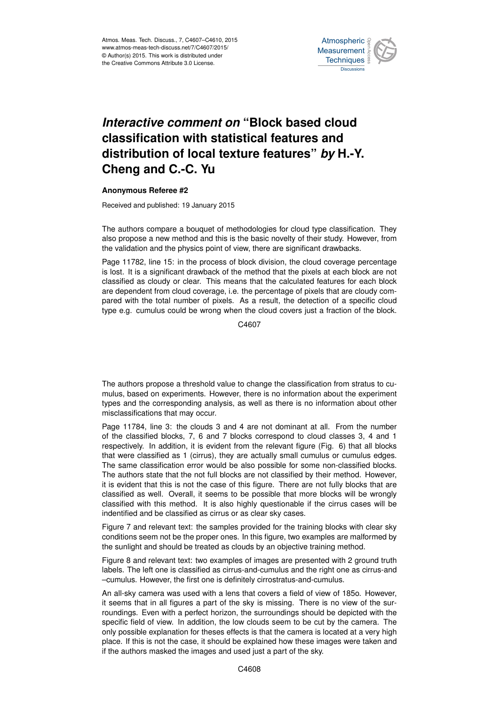

## *Interactive comment on* **"Block based cloud classification with statistical features and distribution of local texture features"** *by* **H.-Y. Cheng and C.-C. Yu**

## **Anonymous Referee #2**

Received and published: 19 January 2015

The authors compare a bouquet of methodologies for cloud type classification. They also propose a new method and this is the basic novelty of their study. However, from the validation and the physics point of view, there are significant drawbacks.

Page 11782, line 15: in the process of block division, the cloud coverage percentage is lost. It is a significant drawback of the method that the pixels at each block are not classified as cloudy or clear. This means that the calculated features for each block are dependent from cloud coverage, i.e. the percentage of pixels that are cloudy compared with the total number of pixels. As a result, the detection of a specific cloud type e.g. cumulus could be wrong when the cloud covers just a fraction of the block.

C4607

The authors propose a threshold value to change the classification from stratus to cumulus, based on experiments. However, there is no information about the experiment types and the corresponding analysis, as well as there is no information about other misclassifications that may occur.

Page 11784, line 3: the clouds 3 and 4 are not dominant at all. From the number of the classified blocks, 7, 6 and 7 blocks correspond to cloud classes 3, 4 and 1 respectively. In addition, it is evident from the relevant figure (Fig. 6) that all blocks that were classified as 1 (cirrus), they are actually small cumulus or cumulus edges. The same classification error would be also possible for some non-classified blocks. The authors state that the not full blocks are not classified by their method. However, it is evident that this is not the case of this figure. There are not fully blocks that are classified as well. Overall, it seems to be possible that more blocks will be wrongly classified with this method. It is also highly questionable if the cirrus cases will be indentified and be classified as cirrus or as clear sky cases.

Figure 7 and relevant text: the samples provided for the training blocks with clear sky conditions seem not be the proper ones. In this figure, two examples are malformed by the sunlight and should be treated as clouds by an objective training method.

Figure 8 and relevant text: two examples of images are presented with 2 ground truth labels. The left one is classified as cirrus-and-cumulus and the right one as cirrus-and –cumulus. However, the first one is definitely cirrostratus-and-cumulus.

An all-sky camera was used with a lens that covers a field of view of 185o. However, it seems that in all figures a part of the sky is missing. There is no view of the surroundings. Even with a perfect horizon, the surroundings should be depicted with the specific field of view. In addition, the low clouds seem to be cut by the camera. The only possible explanation for theses effects is that the camera is located at a very high place. If this is not the case, it should be explained how these images were taken and if the authors masked the images and used just a part of the sky.